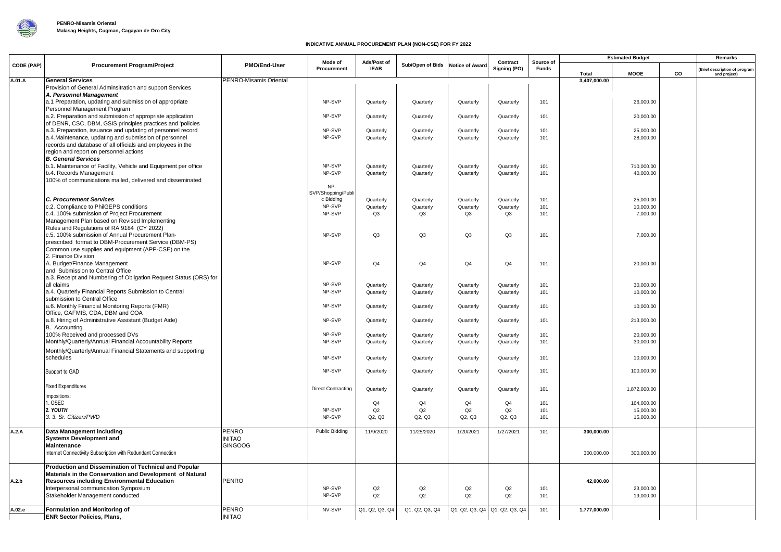

## **INDICATIVE ANNUAL PROCUREMENT PLAN (NON-CSE) FOR FY 2022**

|            | <b>Procurement Program/Project</b>                                                                                    | PMO/End-User           | Mode of                   | Ads/Post of            |                        | <b>Notice of Award</b>        | Contract<br>Signing (PO) |            | <b>Estimated Budget</b><br>Source of |                        |    | Remarks                                      |
|------------|-----------------------------------------------------------------------------------------------------------------------|------------------------|---------------------------|------------------------|------------------------|-------------------------------|--------------------------|------------|--------------------------------------|------------------------|----|----------------------------------------------|
| CODE (PAP) |                                                                                                                       |                        | Procurement               | <b>IEAB</b>            | Sub/Open of Bids       |                               |                          | Funds      | Total                                | <b>MOOE</b>            | co | Brief description of program<br>and project) |
| A.01.A     | <b>General Services</b>                                                                                               | PENRO-Misamis Oriental |                           |                        |                        |                               |                          |            | 3,407,000.00                         |                        |    |                                              |
|            | Provision of General Adminsitration and support Services<br>A. Personnel Management                                   |                        |                           |                        |                        |                               |                          |            |                                      |                        |    |                                              |
|            | a.1 Preparation, updating and submission of appropriate                                                               |                        | NP-SVP                    | Quarterly              | Quarterly              | Quarterly                     | Quarterly                | 101        |                                      | 26,000.00              |    |                                              |
|            | Personnel Management Program                                                                                          |                        |                           |                        |                        |                               |                          |            |                                      |                        |    |                                              |
|            | a.2. Preparation and submission of appropriate application                                                            |                        | NP-SVP                    | Quarterly              | Quarterly              | Quarterly                     | Quarterly                | 101        |                                      | 20,000.00              |    |                                              |
|            | of DENR, CSC, DBM, GSIS principles practices and 'policies                                                            |                        |                           |                        |                        |                               |                          |            |                                      |                        |    |                                              |
|            | a.3. Preparation, issuance and updating of personnel record<br>a.4. Maintenance, updating and submission of personnel |                        | NP-SVP<br>NP-SVP          | Quarterly<br>Quarterly | Quarterly<br>Quarterly | Quarterly<br>Quarterly        | Quarterly<br>Quarterly   | 101<br>101 |                                      | 25,000.00<br>28,000.00 |    |                                              |
|            | records and database of all officials and employees in the                                                            |                        |                           |                        |                        |                               |                          |            |                                      |                        |    |                                              |
|            | region and report on personnel actions                                                                                |                        |                           |                        |                        |                               |                          |            |                                      |                        |    |                                              |
|            | <b>B. General Services</b>                                                                                            |                        |                           |                        |                        |                               |                          |            |                                      |                        |    |                                              |
|            | b.1. Maintenance of Facility, Vehicle and Equipment per office                                                        |                        | NP-SVP                    | Quarterly              | Quarterly              | Quarterly                     | Quarterly                | 101        |                                      | 710,000.00             |    |                                              |
|            | b.4. Records Management                                                                                               |                        | NP-SVP                    | Quarterly              | Quarterly              | Quarterly                     | Quarterly                | 101        |                                      | 40,000.00              |    |                                              |
|            | 100% of communications mailed, delivered and disseminated                                                             |                        | NP-                       |                        |                        |                               |                          |            |                                      |                        |    |                                              |
|            |                                                                                                                       |                        | SVP/Shopping/Publi        |                        |                        |                               |                          |            |                                      |                        |    |                                              |
|            | <b>C. Procurement Services</b>                                                                                        |                        | c Bidding                 | Quarterly              | Quarterly              | Quarterly                     | Quarterly                | 101        |                                      | 25,000.00              |    |                                              |
|            | c.2. Compliance to PhilGEPS conditions                                                                                |                        | NP-SVP                    | Quarterly              | Quarterly              | Quarterly                     | Quarterly                | 101        |                                      | 10.000.00              |    |                                              |
|            | c.4. 100% submission of Project Procurement<br>Management Plan based on Revised Implementing                          |                        | NP-SVP                    | Q3                     | Q3                     | Q3                            | Q3                       | 101        |                                      | 7,000.00               |    |                                              |
|            | Rules and Regulations of RA 9184 (CY 2022)                                                                            |                        |                           |                        |                        |                               |                          |            |                                      |                        |    |                                              |
|            | c.5. 100% submission of Annual Procurement Plan-                                                                      |                        | NP-SVP                    | Q3                     | Q <sub>3</sub>         | Q3                            | Q3                       | 101        |                                      | 7,000.00               |    |                                              |
|            | prescribed format to DBM-Procurement Service (DBM-PS)                                                                 |                        |                           |                        |                        |                               |                          |            |                                      |                        |    |                                              |
|            | Common use supplies and equipment (APP-CSE) on the                                                                    |                        |                           |                        |                        |                               |                          |            |                                      |                        |    |                                              |
|            | 2. Finance Division<br>A. Budget/Finance Management                                                                   |                        | NP-SVP                    | Q <sub>4</sub>         | Q4                     | Q <sub>4</sub>                | Q <sub>4</sub>           | 101        |                                      | 20,000.00              |    |                                              |
|            | and Submission to Central Office                                                                                      |                        |                           |                        |                        |                               |                          |            |                                      |                        |    |                                              |
|            | a.3. Receipt and Numbering of Obligation Request Status (ORS) for                                                     |                        |                           |                        |                        |                               |                          |            |                                      |                        |    |                                              |
|            | all claims                                                                                                            |                        | NP-SVP                    | Quarterly              | Quarterly              | Quarterly                     | Quarterly                | 101        |                                      | 30,000.00              |    |                                              |
|            | a.4. Quarterly Financial Reports Submission to Central                                                                |                        | NP-SVP                    | Quarterly              | Quarterly              | Quarterly                     | Quarterly                | 101        |                                      | 10,000.00              |    |                                              |
|            | submission to Central Office                                                                                          |                        |                           |                        |                        |                               |                          |            |                                      |                        |    |                                              |
|            | a.6. Monthly Financial Monitoring Reports (FMR)<br>Office, GAFMIS, CDA, DBM and COA                                   |                        | NP-SVP                    | Quarterly              | Quarterly              | Quarterly                     | Quarterly                | 101        |                                      | 10,000.00              |    |                                              |
|            | a.8. Hiring of Administrative Assistant (Budget Aide)                                                                 |                        | NP-SVP                    | Quarterly              | Quarterly              | Quarterly                     | Quarterly                | 101        |                                      | 213,000.00             |    |                                              |
|            | B. Accounting                                                                                                         |                        |                           |                        |                        |                               |                          |            |                                      |                        |    |                                              |
|            | 100% Received and processed DVs                                                                                       |                        | NP-SVP                    | Quarterly              | Quarterly              | Quarterly                     | Quarterly                | 101        |                                      | 20,000.00              |    |                                              |
|            | Monthly/Quarterly/Annual Financial Accountability Reports                                                             |                        | NP-SVP                    | Quarterly              | Quarterly              | Quarterly                     | Quarterly                | 101        |                                      | 30,000.00              |    |                                              |
|            | Monthly/Quarterly/Annual Financial Statements and supporting                                                          |                        |                           |                        |                        |                               |                          |            |                                      |                        |    |                                              |
|            | schedules                                                                                                             |                        | NP-SVP                    | Quarterly              | Quarterly              | Quarterly                     | Quarterly                | 101        |                                      | 10,000.00              |    |                                              |
|            | Support to GAD                                                                                                        |                        | NP-SVP                    | Quarterly              | Quarterly              | Quarterly                     | Quarterly                | 101        |                                      | 100,000.00             |    |                                              |
|            |                                                                                                                       |                        |                           |                        |                        |                               |                          |            |                                      |                        |    |                                              |
|            | <b>Fixed Expenditures</b>                                                                                             |                        | <b>Direct Contracting</b> | Quarterly              | Quarterly              | Quarterly                     | Quarterly                | 101        |                                      | 1,872,000.00           |    |                                              |
|            | Impositions:                                                                                                          |                        |                           |                        |                        |                               |                          |            |                                      |                        |    |                                              |
|            | . OSEC                                                                                                                |                        |                           | Q <sub>4</sub>         | Q4                     | Q <sub>4</sub>                | Q <sub>4</sub>           | 101        |                                      | 164,000.00             |    |                                              |
|            | 2. YOUTH                                                                                                              |                        | NP-SVP                    | Q2                     | Q2                     | Q2                            | Q2                       | 101        |                                      | 15,000.00              |    |                                              |
|            | 3. 3. Sr. Citizen/PWD                                                                                                 |                        | NP-SVP                    | Q2, Q3                 | Q2, Q3                 | Q2, Q3                        | Q2, Q3                   | 101        |                                      | 15,000.00              |    |                                              |
| A.2.A      | <b>Data Management including</b>                                                                                      | PENRO                  | Public Bidding            | 11/9/2020              | 11/25/2020             | 1/20/2021                     | 1/27/2021                | 101        | 300,000.00                           |                        |    |                                              |
|            | <b>Systems Development and</b>                                                                                        | INITAO                 |                           |                        |                        |                               |                          |            |                                      |                        |    |                                              |
|            | <b>Maintenance</b>                                                                                                    | <b>GINGOOG</b>         |                           |                        |                        |                               |                          |            |                                      |                        |    |                                              |
|            | Internet Connectivity Subscription with Redundant Connection                                                          |                        |                           |                        |                        |                               |                          |            | 300,000.00                           | 300,000.00             |    |                                              |
|            | Production and Dissemination of Technical and Popular                                                                 |                        |                           |                        |                        |                               |                          |            |                                      |                        |    |                                              |
|            | Materials in the Conservation and Development of Natural                                                              |                        |                           |                        |                        |                               |                          |            |                                      |                        |    |                                              |
| A.2.b      | <b>Resources including Environmental Education</b>                                                                    | PENRO                  |                           |                        |                        |                               |                          |            | 42,000.00                            |                        |    |                                              |
|            | Interpersonal communication Symposium                                                                                 |                        | NP-SVP                    | Q2                     | Q2                     | Q2                            | Q2                       | 101        |                                      | 23,000.00              |    |                                              |
|            | Stakeholder Management conducted                                                                                      |                        | NP-SVP                    | Q2                     | Q2                     | Q2                            | Q2                       | 101        |                                      | 19,000.00              |    |                                              |
| A.02.e     | <b>Formulation and Monitoring of</b>                                                                                  | <b>PENRO</b>           | NV-SVP                    | Q1, Q2, Q3, Q4         | Q1, Q2, Q3, Q4         | Q1, Q2, Q3, Q4 Q1, Q2, Q3, Q4 |                          | 101        | 1,777,000.00                         |                        |    |                                              |
|            | <b>ENR Sector Policies, Plans,</b>                                                                                    | <b>INITAO</b>          |                           |                        |                        |                               |                          |            |                                      |                        |    |                                              |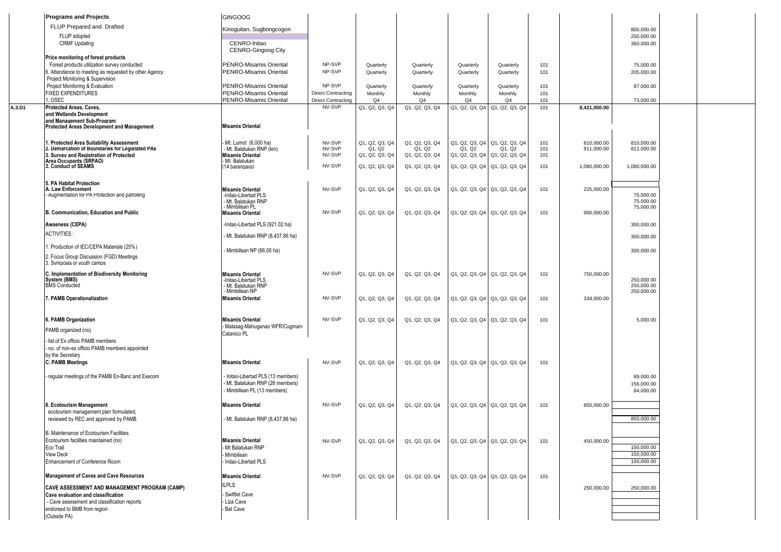|        | <b>Programs and Projects</b>                                                               | <b>GINGOOG</b>                                                   |                           |                          |                          |                                         |                      |            |                          |                          |  |
|--------|--------------------------------------------------------------------------------------------|------------------------------------------------------------------|---------------------------|--------------------------|--------------------------|-----------------------------------------|----------------------|------------|--------------------------|--------------------------|--|
|        | FLUP Prepared and Drafted                                                                  | Kinoguitan, Sugbongcogon                                         |                           |                          |                          |                                         |                      |            |                          | 800,000.00               |  |
|        | FLUP adopted                                                                               |                                                                  |                           |                          |                          |                                         |                      |            |                          | 250,000.00               |  |
|        | <b>CRMF Updating</b>                                                                       | CENRO-Initao                                                     |                           |                          |                          |                                         |                      |            |                          | 360,000.00               |  |
|        | Price monitoring of forest products                                                        | CENRO-Gingoog City                                               |                           |                          |                          |                                         |                      |            |                          |                          |  |
|        | Forest products utilization survey conducted                                               | <b>PENRO-Misamis Oriental</b>                                    | NP-SVP                    | Quarterly                | Quarterly                | Quarterly                               | Quarterly            | 101        |                          | 75,000.00                |  |
|        | 6. Attendance to meeting as requested by other Agency                                      | <b>PENRO-Misamis Oriental</b>                                    | NP-SVP                    | Quarterly                | Quarterly                | Quarterly                               | Quarterly            | 101        |                          | 205,000.00               |  |
|        | Project Monitoring & Supervision                                                           |                                                                  | NP-SVP                    |                          |                          |                                         |                      |            |                          |                          |  |
|        | Project Monitoring & Evaluation<br><b>FIXED EXPENDITURES</b>                               | <b>PENRO-Misamis Oriental</b><br><b>PENRO-Misamis Oriental</b>   | <b>Direct Contracting</b> | Quarterly<br>Monthly     | Quarterly<br>Monthly     | Quarterly<br>Monthly                    | Quarterly<br>Monthly | 101<br>101 |                          | 87,000.00                |  |
|        | . OSEC                                                                                     | PENRO-Misamis Oriental                                           | <b>Direct Contracting</b> | Q4                       | Q4                       | Q4                                      | Q4                   | 101        |                          | 73,000.00                |  |
| A.3.D1 | Protected Areas, Caves,                                                                    |                                                                  | NV-SVP                    | Q1, Q2, Q3, Q4           | Q1, Q2, Q3, Q4           | Q1, Q2, Q3, Q4 Q1, Q2, Q3, Q4           |                      | 101        | 8,421,000.00             |                          |  |
|        | and Wetlands Development<br>and Management Sub-Program                                     |                                                                  |                           |                          |                          |                                         |                      |            |                          |                          |  |
|        | Protected Areas Development and Management                                                 | <b>Misamis Oriental</b>                                          |                           |                          |                          |                                         |                      |            |                          |                          |  |
|        | . Protected Area Suitability Assessment                                                    |                                                                  |                           |                          |                          |                                         |                      |            |                          |                          |  |
|        | 2. Demarcation of Boundaries for Legislated PAs                                            | Mt. Lumot (6.000 ha)<br>- Mt. Balatukan RNP (km)                 | NV-SVP<br>NV-SVP          | Q1, Q2, Q3, Q4<br>Q1, Q2 | Q1, Q2, Q3, Q4<br>Q1, Q2 | Q1, Q2, Q3, Q4 Q1, Q2, Q3, Q4<br>Q1, Q2 | Q1, Q2               | 101<br>101 | 810,000.00<br>811,000.00 | 810,000.00<br>811,000.00 |  |
|        | 3. Survey and Registration of Protected<br>Area Occupants (SRPAO)                          | <b>Misamis Oriental</b><br>- Mt. Balatukan                       | NV-SVP                    | Q1, Q2, Q3, Q4           | Q1, Q2, Q3, Q4           | Q1, Q2, Q3, Q4 Q1, Q2, Q3, Q4           |                      | 101        |                          |                          |  |
|        | 3. Conduct of SEAMS                                                                        | (14 barangays)                                                   | NV-SVP                    | Q1, Q2, Q3, Q4           | Q1, Q2, Q3, Q4           | Q1, Q2, Q3, Q4   Q1, Q2, Q3, Q4         |                      | 101        | 1,080,000.00             | 1,080,000.00             |  |
|        |                                                                                            |                                                                  |                           |                          |                          |                                         |                      |            |                          |                          |  |
|        | 5. PA Habitat Protection<br>A. Law Enforcement                                             |                                                                  | NV-SVP                    | Q1, Q2, Q3, Q4           | Q1, Q2, Q3, Q4           | Q1, Q2, Q3, Q4 Q1, Q2, Q3, Q4           |                      | 101        | 225,000.00               |                          |  |
|        | Augmentation for PA Protection and patrolling                                              | <b>Misamis Oriental</b><br>-Initao-Libertad PLS                  |                           |                          |                          |                                         |                      |            |                          | 75,000.00                |  |
|        |                                                                                            | - Mt. Balatukan RNP<br>- Mimbilisan PL                           |                           |                          |                          |                                         |                      |            |                          | 75,000.00<br>75,000.00   |  |
|        | B. Communication, Education and Public                                                     | <b>Misamis Oriental</b>                                          | NV-SVP                    | Q1, Q2, Q3, Q4           | Q1, Q2, Q3, Q4           | Q1, Q2, Q3, Q4   Q1, Q2, Q3, Q4         |                      | 101        | 900,000.00               |                          |  |
|        | Awaeness (CEPA)                                                                            | -Initao-Libertad PLS (921.02 ha)                                 |                           |                          |                          |                                         |                      |            |                          | 300,000.00               |  |
|        | <b>ACTIVITIES:</b>                                                                         | - Mt. Balatukan RNP (8,437.86 ha)                                |                           |                          |                          |                                         |                      |            |                          | 300,000.00               |  |
|        |                                                                                            |                                                                  |                           |                          |                          |                                         |                      |            |                          |                          |  |
|        | Production of IEC/CEPA Materials (25%)                                                     | - Mimbilisan NP (66.00 ha)                                       |                           |                          |                          |                                         |                      |            |                          | 300,000.00               |  |
|        | 2. Focus Group Discussion (FGD) Meetings<br>3. Symposia or youth camps                     |                                                                  |                           |                          |                          |                                         |                      |            |                          |                          |  |
|        | C. Implementation of Biodiversity Monitoring                                               | <b>Misamis Oriental</b>                                          | NV-SVP                    | Q1, Q2, Q3, Q4           | Q1, Q2, Q3, Q4           | Q1, Q2, Q3, Q4 Q1, Q2, Q3, Q4           |                      | 101        | 750,000.00               |                          |  |
|        | System (BMS)                                                                               | -Initao-Libertad PLS                                             |                           |                          |                          |                                         |                      |            |                          | 250,000.00               |  |
|        | <b>BMS</b> Conducted                                                                       | - Mt. Balatukan RNP<br>- Mimbilisan NP                           |                           |                          |                          |                                         |                      |            |                          | 250,000.00<br>250,000.00 |  |
|        | 7. PAMB Operationalization                                                                 | <b>Misamis Oriental</b>                                          | NV-SVP                    | Q1, Q2, Q3, Q4           | Q1, Q2, Q3, Q4           | Q1, Q2, Q3, Q4   Q1, Q2, Q3, Q4         |                      | 101        | 334,000.00               |                          |  |
|        |                                                                                            |                                                                  |                           |                          |                          |                                         |                      |            |                          |                          |  |
|        | 6. PAMB Organization                                                                       | <b>Misamis Oriental</b>                                          | NV-SVP                    | Q1, Q2, Q3, Q4           | Q1, Q2, Q3, Q4           | Q1, Q2, Q3, Q4 Q1, Q2, Q3, Q4           |                      | 101        |                          | 5,000.00                 |  |
|        | PAMB organized (no)                                                                        | - Malasag-Mahuganao WFR/Cugman-                                  |                           |                          |                          |                                         |                      |            |                          |                          |  |
|        | list of Ex officio PAMB members                                                            | Catanico PL                                                      |                           |                          |                          |                                         |                      |            |                          |                          |  |
|        | no. of non-ex officio PAMB members appointed                                               |                                                                  |                           |                          |                          |                                         |                      |            |                          |                          |  |
|        | by the Secretary                                                                           |                                                                  |                           |                          |                          |                                         |                      |            |                          |                          |  |
|        | <b>C. PAMB Meetings</b>                                                                    | <b>Misamis Oriental</b>                                          | NV-SVP                    | Q1, Q2, Q3, Q4           | Q1, Q2, Q3, Q4           | Q1, Q2, Q3, Q4   Q1, Q2, Q3, Q4         |                      | 101        |                          |                          |  |
|        | regular meetings of the PAMB En-Banc and Execom                                            | - Initao-Libertad PLS (13 members)                               |                           |                          |                          |                                         |                      |            |                          | 89,000.00                |  |
|        |                                                                                            | - Mt. Balatukan RNP (28 members)<br>- Mimbilisan PL (13 members) |                           |                          |                          |                                         |                      |            |                          | 156,000.00               |  |
|        |                                                                                            |                                                                  |                           |                          |                          |                                         |                      |            |                          | 84,000.00                |  |
|        | 8. Ecotourism Management                                                                   | <b>Misamis Oriental</b>                                          | NV-SVP                    | Q1, Q2, Q3, Q4           | Q1, Q2, Q3, Q4           | Q1, Q2, Q3, Q4 Q1, Q2, Q3, Q4           |                      | 101        | 850,000.00               |                          |  |
|        | ecotourism management plan formulated.<br>reviewed by REC and approved by PAMB             | - Mt. Balatukan RNP (8,437.86 ha)                                |                           |                          |                          |                                         |                      |            |                          | 850,000.00               |  |
|        |                                                                                            |                                                                  |                           |                          |                          |                                         |                      |            |                          |                          |  |
|        | B. Maintenance of Ecotourism Facilities                                                    |                                                                  |                           |                          |                          |                                         |                      |            |                          |                          |  |
|        | Ecotourism facilities maintained (no)<br>Eco Trail                                         | <b>Misamis Oriental</b><br>Mt Balatukan RNP                      | NV-SVP                    | Q1, Q2, Q3, Q4           | Q1, Q2, Q3, Q4           | Q1, Q2, Q3, Q4 Q1, Q2, Q3, Q4           |                      | 101        | 450,000.00               | 150,000.00               |  |
|        | View Deck                                                                                  | Mimbilisan                                                       |                           |                          |                          |                                         |                      |            |                          | 150,000.00               |  |
|        | Enhancement of Conference Room                                                             | Initao-Libertad PLS                                              |                           |                          |                          |                                         |                      |            |                          | 150,000.00               |  |
|        | <b>Management of Caves and Cave Resources</b>                                              | <b>Misamis Oriental</b>                                          | NV-SVP                    | Q1, Q2, Q3, Q4           | Q1, Q2, Q3, Q4           | Q1, Q2, Q3, Q4 Q1, Q2, Q3, Q4           |                      | 101        |                          |                          |  |
|        |                                                                                            | <b>ILPLS</b>                                                     |                           |                          |                          |                                         |                      |            |                          |                          |  |
|        | <b>CAVE ASSESSMENT AND MANAGEMENT PROGRAM (CAMP)</b><br>Cave evaluation and classification | Swiftlet Cave                                                    |                           |                          |                          |                                         |                      |            | 250,000.00               | 250,000.00               |  |
|        | - Cave assessment and classification reports                                               | Liza Cave                                                        |                           |                          |                          |                                         |                      |            |                          |                          |  |
|        | endorsed to BMB from region                                                                | Bat Cave                                                         |                           |                          |                          |                                         |                      |            |                          |                          |  |
|        | (Outside PA)                                                                               |                                                                  |                           |                          |                          |                                         |                      |            |                          |                          |  |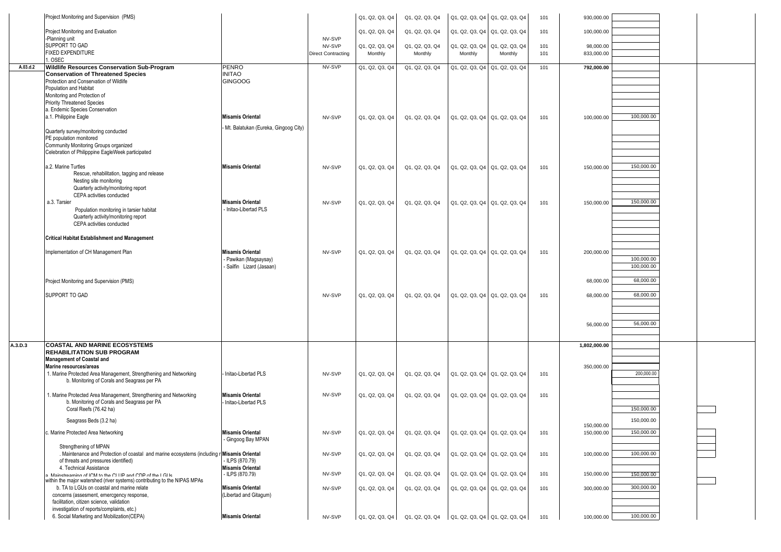|          | Project Monitoring and Supervision (PMS)                                                          |                                                    |                           | Q1, Q2, Q3, Q4 | Q1, Q2, Q3, Q4                                                      | Q1, Q2, Q3, Q4 Q1, Q2, Q3, Q4 |         | 101 | 930,000.00               |                          |  |
|----------|---------------------------------------------------------------------------------------------------|----------------------------------------------------|---------------------------|----------------|---------------------------------------------------------------------|-------------------------------|---------|-----|--------------------------|--------------------------|--|
|          | Project Monitoring and Evaluation                                                                 |                                                    |                           | Q1, Q2, Q3, Q4 | Q1, Q2, Q3, Q4                                                      | Q1, Q2, Q3, Q4 Q1, Q2, Q3, Q4 |         | 101 | 100,000.00               |                          |  |
|          | -Planning unit<br>SUPPORT TO GAD                                                                  |                                                    | NV-SVP<br>NV-SVP          | Q1, Q2, Q3, Q4 | Q1, Q2, Q3, Q4                                                      | Q1, Q2, Q3, Q4 Q1, Q2, Q3, Q4 |         | 101 | 98,000.00                |                          |  |
|          | FIXED EXPENDITURE                                                                                 |                                                    | <b>Direct Contracting</b> | Monthly        | Monthly                                                             | Monthly                       | Monthly | 101 | 833,000.00               |                          |  |
| A.03.d.2 | 1. OSEC<br>Wildlife Resources Conservation Sub-Program                                            | <b>PENRO</b>                                       | NV-SVP                    | Q1, Q2, Q3, Q4 | Q1, Q2, Q3, Q4                                                      | Q1, Q2, Q3, Q4 Q1, Q2, Q3, Q4 |         | 101 | 792,000.00               |                          |  |
|          | <b>Conservation of Threatened Species</b>                                                         | <b>INITAO</b>                                      |                           |                |                                                                     |                               |         |     |                          |                          |  |
|          | Protection and Conservation of Wildlife<br>Population and Habitat                                 | <b>GINGOOG</b>                                     |                           |                |                                                                     |                               |         |     |                          |                          |  |
|          | Monitoring and Protection of                                                                      |                                                    |                           |                |                                                                     |                               |         |     |                          |                          |  |
|          | <b>Priority Threatened Species</b>                                                                |                                                    |                           |                |                                                                     |                               |         |     |                          |                          |  |
|          | a. Endemic Species Conservation<br>a.1. Philippine Eagle                                          | <b>Misamis Oriental</b>                            | NV-SVP                    | Q1, Q2, Q3, Q4 | Q1, Q2, Q3, Q4                                                      | Q1, Q2, Q3, Q4 Q1, Q2, Q3, Q4 |         | 101 | 100,000.00               | 100,000.00               |  |
|          |                                                                                                   | Mt. Balatukan (Eureka, Gingoog City)               |                           |                |                                                                     |                               |         |     |                          |                          |  |
|          | Quarterly survey/monitoring conducted<br>PE population monitored                                  |                                                    |                           |                |                                                                     |                               |         |     |                          |                          |  |
|          | Community Monitoring Groups organized                                                             |                                                    |                           |                |                                                                     |                               |         |     |                          |                          |  |
|          | Celebration of Philipppine EagleWeek participated                                                 |                                                    |                           |                |                                                                     |                               |         |     |                          |                          |  |
|          | a.2. Marine Turtles                                                                               | <b>Misamis Oriental</b>                            | NV-SVP                    | Q1, Q2, Q3, Q4 | Q1, Q2, Q3, Q4                                                      | Q1, Q2, Q3, Q4 Q1, Q2, Q3, Q4 |         | 101 | 150,000.00               | 150,000.00               |  |
|          | Rescue, rehabilitation, tagging and release<br>Nesting site monitoring                            |                                                    |                           |                |                                                                     |                               |         |     |                          |                          |  |
|          | Quarterly activity/monitoring report                                                              |                                                    |                           |                |                                                                     |                               |         |     |                          |                          |  |
|          | CEPA activities conducted<br>a.3. Tarsier                                                         | <b>Misamis Oriental</b>                            | NV-SVP                    | Q1, Q2, Q3, Q4 | Q1, Q2, Q3, Q4                                                      | Q1, Q2, Q3, Q4 Q1, Q2, Q3, Q4 |         | 101 | 150,000.00               | 150,000.00               |  |
|          | Population monitoring in tarsier habitat                                                          | - Initao-Libertad PLS                              |                           |                |                                                                     |                               |         |     |                          |                          |  |
|          | Quarterly activity/monitoring report<br>CEPA activities conducted                                 |                                                    |                           |                |                                                                     |                               |         |     |                          |                          |  |
|          |                                                                                                   |                                                    |                           |                |                                                                     |                               |         |     |                          |                          |  |
|          | <b>Critical Habitat Establishment and Management</b>                                              |                                                    |                           |                |                                                                     |                               |         |     |                          |                          |  |
|          | Implementation of CH Management Plan                                                              | <b>Misamis Oriental</b>                            | NV-SVP                    | Q1, Q2, Q3, Q4 | Q1, Q2, Q3, Q4                                                      | Q1, Q2, Q3, Q4 Q1, Q2, Q3, Q4 |         | 101 | 200,000.00               |                          |  |
|          |                                                                                                   | - Pawikan (Magsaysay)<br>- Sailfin Lizard (Jasaan) |                           |                |                                                                     |                               |         |     |                          | 100,000.00<br>100,000.00 |  |
|          |                                                                                                   |                                                    |                           |                |                                                                     |                               |         |     |                          |                          |  |
|          | Project Monitoring and Supervision (PMS)                                                          |                                                    |                           |                |                                                                     |                               |         |     | 68,000.00                | 68,000.00                |  |
|          | SUPPORT TO GAD                                                                                    |                                                    | NV-SVP                    | Q1, Q2, Q3, Q4 | Q1, Q2, Q3, Q4                                                      | Q1, Q2, Q3, Q4 Q1, Q2, Q3, Q4 |         | 101 | 68,000.00                | 68,000.00                |  |
|          |                                                                                                   |                                                    |                           |                |                                                                     |                               |         |     |                          |                          |  |
|          |                                                                                                   |                                                    |                           |                |                                                                     |                               |         |     |                          |                          |  |
|          |                                                                                                   |                                                    |                           |                |                                                                     |                               |         |     | 56,000.00                | 56,000.00                |  |
| A.3.D.3  | <b>COASTAL AND MARINE ECOSYSTEMS</b>                                                              |                                                    |                           |                |                                                                     |                               |         |     | 1,802,000.00             |                          |  |
|          | <b>REHABILITATION SUB PROGRAM</b>                                                                 |                                                    |                           |                |                                                                     |                               |         |     |                          |                          |  |
|          | <b>Management of Coastal and</b><br>Marine resources/areas                                        |                                                    |                           |                |                                                                     |                               |         |     | 350,000.00               |                          |  |
|          | 1. Marine Protected Area Management, Strengthening and Networking                                 | Initao-Libertad PLS                                | NV-SVP                    | Q1, Q2, Q3, Q4 | Q1, Q2, Q3, Q4                                                      | Q1, Q2, Q3, Q4 Q1, Q2, Q3, Q4 |         | 101 |                          | 200,000.00               |  |
|          | b. Monitoring of Corals and Seagrass per PA                                                       |                                                    |                           |                |                                                                     |                               |         |     |                          |                          |  |
|          | 1. Marine Protected Area Management, Strengthening and Networking                                 | <b>Misamis Oriental</b>                            | NV-SVP                    | Q1, Q2, Q3, Q4 | Q1, Q2, Q3, Q4                                                      | Q1, Q2, Q3, Q4 Q1, Q2, Q3, Q4 |         | 101 |                          |                          |  |
|          | b. Monitoring of Corals and Seagrass per PA<br>Coral Reefs (76.42 ha)                             | - Initao-Libertad PLS                              |                           |                |                                                                     |                               |         |     |                          | 150,000.00               |  |
|          | Seagrass Beds (3.2 ha)                                                                            |                                                    |                           |                |                                                                     |                               |         |     |                          | 150,000.00               |  |
|          | c. Marine Protected Area Networking                                                               | <b>Misamis Oriental</b>                            | NV-SVP                    | Q1, Q2, Q3, Q4 | Q1, Q2, Q3, Q4                                                      | Q1, Q2, Q3, Q4 Q1, Q2, Q3, Q4 |         | 101 | 150,000.00<br>150,000.00 | 150,000.00               |  |
|          |                                                                                                   | - Gingoog Bay MPAN                                 |                           |                |                                                                     |                               |         |     |                          |                          |  |
|          | Strengthening of MPAN<br>. Maintenance and Protection of coastal and marine ecosystems (including | r Misamis Oriental                                 | NV-SVP                    |                | Q1, Q2, Q3, Q4                                                      | Q1, Q2, Q3, Q4 Q1, Q2, Q3, Q4 |         | 101 | 100,000.00               | 100,000.00               |  |
|          | of threats and pressures identified)                                                              | - ILPS (870.79)                                    |                           | Q1, Q2, Q3, Q4 |                                                                     |                               |         |     |                          |                          |  |
|          | 4. Technical Assistance<br>a Mainstreaming of ICM to the CLIIP and CDP of the LGLIs               | <b>Misamis Oriental</b><br>- ILPS (870.79)         | NV-SVP                    | Q1, Q2, Q3, Q4 | Q1, Q2, Q3, Q4                                                      | Q1, Q2, Q3, Q4 Q1, Q2, Q3, Q4 |         | 101 | 150,000.00               | 150,000.00               |  |
|          | within the major watershed (river systems) contributing to the NIPAS MPAs                         |                                                    |                           |                |                                                                     |                               |         |     |                          |                          |  |
|          | b. TA to LGUs on coastal and marine relate<br>concerns (assesment, emercgency response,           | <b>Misamis Oriental</b><br>(Libertad and Gitagum)  | NV-SVP                    | Q1, Q2, Q3, Q4 | Q1, Q2, Q3, Q4                                                      | Q1, Q2, Q3, Q4 Q1, Q2, Q3, Q4 |         | 101 | 300,000.00               | 300,000.00               |  |
|          | facilitation, citizen science, validation                                                         |                                                    |                           |                |                                                                     |                               |         |     |                          |                          |  |
|          | investigation of reports/complaints, etc.)<br>6. Social Marketing and Mobilization(CEPA)          | <b>Misamis Oriental</b>                            | NV-SVP                    |                | $Q1, Q2, Q3, Q4$ $Q1, Q2, Q3, Q4$ $Q1, Q2, Q3, Q4$ $Q1, Q2, Q3, Q4$ |                               |         | 101 | 100,000.00               | 100,000.00               |  |
|          |                                                                                                   |                                                    |                           |                |                                                                     |                               |         |     |                          |                          |  |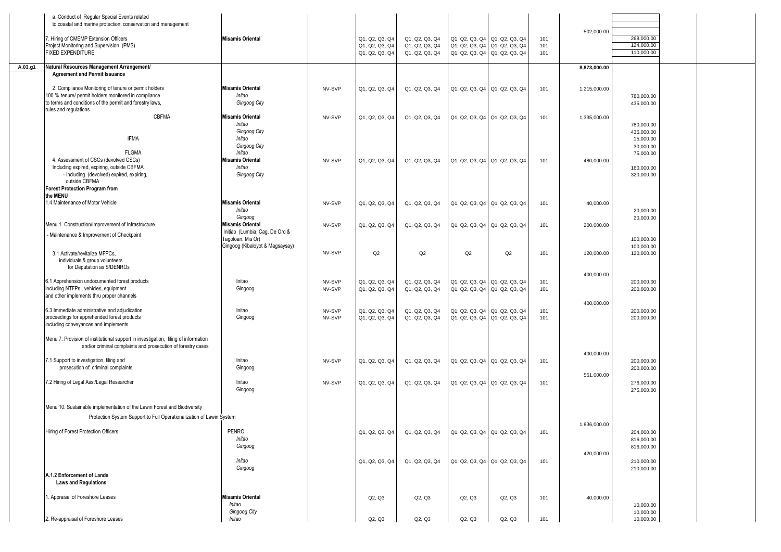| a. Conduct of Regular Special Events related<br>to coastal and marine protection, conservation and management                                                                                     |                                                                                                     |                  |                                                    |                                                    |                                                                                                 |        |                   |              |                                                                 |  |
|---------------------------------------------------------------------------------------------------------------------------------------------------------------------------------------------------|-----------------------------------------------------------------------------------------------------|------------------|----------------------------------------------------|----------------------------------------------------|-------------------------------------------------------------------------------------------------|--------|-------------------|--------------|-----------------------------------------------------------------|--|
| 7. Hiring of CMEMP Extension Officers<br>Project Monitoring and Supervision (PMS)<br><b>FIXED EXPENDITURE</b>                                                                                     | <b>Misamis Oriental</b>                                                                             |                  | Q1, Q2, Q3, Q4<br>Q1, Q2, Q3, Q4<br>Q1, Q2, Q3, Q4 | Q1, Q2, Q3, Q4<br>Q1, Q2, Q3, Q4<br>Q1, Q2, Q3, Q4 | Q1, Q2, Q3, Q4 Q1, Q2, Q3, Q4<br>Q1, Q2, Q3, Q4 Q1, Q2, Q3, Q4<br>Q1, Q2, Q3, Q4 Q1, Q2, Q3, Q4 |        | 101<br>101<br>101 | 502,000.00   | 268,000.00<br>124,000.00<br>110,000.00                          |  |
| Natural Resources Management Arrangement/<br>A.03.g1<br><b>Agreement and Permit Issuance</b>                                                                                                      |                                                                                                     |                  |                                                    |                                                    |                                                                                                 |        |                   | 8,873,000.00 |                                                                 |  |
| 2. Compliance Monitoring of tenure or permit holders<br>100 % tenure/ permit holders monitored in compliance<br>to terms and conditions of the permit and forestry laws,<br>rules and regulations | <b>Misamis Oriental</b><br>Initao<br>Gingoog City                                                   | NV-SVP           | Q1, Q2, Q3, Q4                                     | Q1, Q2, Q3, Q4                                     | Q1, Q2, Q3, Q4 Q1, Q2, Q3, Q4                                                                   |        | 101               | 1,215,000.00 | 780,000.00<br>435,000.00                                        |  |
| CBFMA<br><b>IFMA</b><br><b>FLGMA</b>                                                                                                                                                              | <b>Misamis Oriental</b><br>Initao<br><b>Gingoog City</b><br>Initao<br><b>Gingoog City</b><br>Initao | NV-SVP           | Q1, Q2, Q3, Q4                                     | Q1, Q2, Q3, Q4                                     | Q1, Q2, Q3, Q4 Q1, Q2, Q3, Q4                                                                   |        | 101               | 1,335,000.00 | 780,000.00<br>435,000.00<br>15,000.00<br>30,000.00<br>75,000.00 |  |
| 4. Assessment of CSCs (devolved CSCs)<br>Including expired, expiring, outside CBFMA<br>- Including (devolved) expired, expiring,<br>outside CBFMA<br><b>Forest Protection Program from</b>        | <b>Misamis Oriental</b><br>Initao<br><b>Gingoog City</b>                                            | NV-SVP           | Q1, Q2, Q3, Q4                                     | Q1, Q2, Q3, Q4                                     | Q1, Q2, Q3, Q4 Q1, Q2, Q3, Q4                                                                   |        | 101               | 480,000.00   | 160,000.00<br>320,000.00                                        |  |
| the MENU<br>1.4 Maintenance of Motor Vehicle                                                                                                                                                      | <b>Misamis Oriental</b><br>Initao<br>Gingoog                                                        | NV-SVP           | Q1, Q2, Q3, Q4                                     | Q1, Q2, Q3, Q4                                     | Q1, Q2, Q3, Q4   Q1, Q2, Q3, Q4                                                                 |        | 101               | 40,000.00    | 20,000.00<br>20,000.00                                          |  |
| Menu 1. Construction/Improvement of Infrastructure<br>- Maintenance & Improvement of Checkpoint                                                                                                   | <b>Misamis Oriental</b><br>Initiao (Lumbia, Cag. De Oro &<br>Tagoloan, Mis Or)                      | NV-SVP           | Q1, Q2, Q3, Q4                                     | Q1, Q2, Q3, Q4                                     | Q1, Q2, Q3, Q4 Q1, Q2, Q3, Q4                                                                   |        | 101               | 200,000.00   | 100,000.00                                                      |  |
| 3.1 Activate/revitalize MFPCs.<br>individuals & group volunteers<br>for Deputation as S/DENROs                                                                                                    | Gingoog (Kibaloyot & Magsaysay)                                                                     | NV-SVP           | Q2                                                 | Q2                                                 | Q2                                                                                              | Q2     | 101               | 120,000.00   | 100,000.00<br>120,000.00                                        |  |
| 6.1 Apprehension undocumented forest products<br>including NTFPs, vehicles, equipment<br>and other implements thru proper channels                                                                | Initao<br>Gingoog                                                                                   | NV-SVP<br>NV-SVP | Q1, Q2, Q3, Q4<br>Q1, Q2, Q3, Q4                   | Q1, Q2, Q3, Q4<br>Q1, Q2, Q3, Q4                   | Q1, Q2, Q3, Q4 Q1, Q2, Q3, Q4<br>Q1, Q2, Q3, Q4 Q1, Q2, Q3, Q4                                  |        | 101<br>101        | 400,000.00   | 200,000.00<br>200,000.00                                        |  |
| 6.3 Immediate administrative and adjudication<br>proceedings for apprehended forest products<br>including conveyances and implements                                                              | Initao<br>Gingoog                                                                                   | NV-SVP<br>NV-SVP | Q1, Q2, Q3, Q4<br>Q1, Q2, Q3, Q4                   | Q1, Q2, Q3, Q4<br>Q1, Q2, Q3, Q4                   | Q1, Q2, Q3, Q4 Q1, Q2, Q3, Q4<br>Q1, Q2, Q3, Q4 Q1, Q2, Q3, Q4                                  |        | 101<br>101        | 400,000.00   | 200,000.00<br>200,000.00                                        |  |
| Menu 7. Provision of institutional support in investigation, filing of information<br>and/or criminal complaints and prosecution of forestry cases                                                |                                                                                                     |                  |                                                    |                                                    |                                                                                                 |        |                   | 400,000.00   |                                                                 |  |
| 7.1 Support to investigation, filing and<br>prosecution of criminal complaints                                                                                                                    | Initao<br>Gingoog                                                                                   | NV-SVP           | Q1, Q2, Q3, Q4                                     | Q1, Q2, Q3, Q4                                     | Q1, Q2, Q3, Q4 Q1, Q2, Q3, Q4                                                                   |        | 101               | 551,000.00   | 200,000.00<br>200,000.00                                        |  |
| 7.2 Hiring of Legal Asst/Legal Researcher                                                                                                                                                         | Initao<br>Gingoog                                                                                   | NV-SVP           | Q1, Q2, Q3, Q4                                     | Q1, Q2, Q3, Q4                                     | Q1, Q2, Q3, Q4   Q1, Q2, Q3, Q4                                                                 |        | 101               |              | 276,000.00<br>275,000.00                                        |  |
| Menu 10. Sustainable implementation of the Lawin Forest and Biodiversity<br>Protection System Support to Full Operationalization of Lawin System                                                  |                                                                                                     |                  |                                                    |                                                    |                                                                                                 |        |                   | 1,836,000.00 |                                                                 |  |
| Hiring of Forest Protection Officers                                                                                                                                                              | PENRO<br>Initao<br>Gingoog                                                                          |                  | Q1, Q2, Q3, Q4                                     | Q1, Q2, Q3, Q4                                     | Q1, Q2, Q3, Q4 Q1, Q2, Q3, Q4                                                                   |        | 101               | 420,000.00   | 204,000.00<br>816,000.00<br>816,000.00                          |  |
| A.1.2 Enforcement of Lands<br><b>Laws and Regulations</b>                                                                                                                                         | Initao<br>Gingoog                                                                                   |                  | Q1, Q2, Q3, Q4                                     | Q1, Q2, Q3, Q4                                     | Q1, Q2, Q3, Q4 Q1, Q2, Q3, Q4                                                                   |        | 101               |              | 210,000.00<br>210,000.00                                        |  |
| 1. Appraisal of Foreshore Leases                                                                                                                                                                  | <b>Misamis Oriental</b><br>Initao                                                                   |                  | Q2, Q3                                             | Q2, Q3                                             | Q2, Q3                                                                                          | Q2, Q3 | 101               | 40,000.00    | 10,000.00                                                       |  |
| 2. Re-appraisal of Foreshore Leases                                                                                                                                                               | Gingoog City<br>Initao                                                                              |                  | Q2, Q3                                             | Q2, Q3                                             | Q2, Q3                                                                                          | Q2, Q3 | 101               |              | 10,000.00<br>10,000.00                                          |  |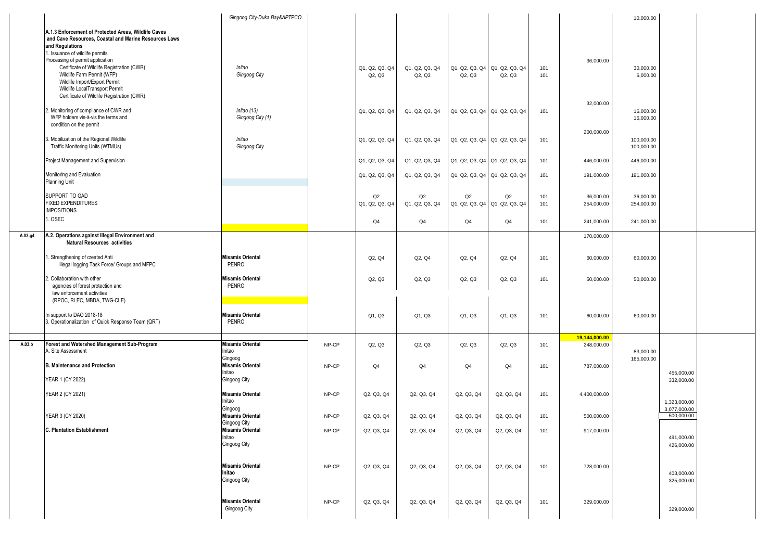|         |                                                                                                                                                                                                                               | Gingoog City-Duka Bay&APTPCO                                 |       |                          |                          |                                         |                |            |                             | 10,000.00                              |  |
|---------|-------------------------------------------------------------------------------------------------------------------------------------------------------------------------------------------------------------------------------|--------------------------------------------------------------|-------|--------------------------|--------------------------|-----------------------------------------|----------------|------------|-----------------------------|----------------------------------------|--|
|         | A.1.3 Enforcement of Protected Areas, Wildlife Caves<br>and Cave Resources, Coastal and Marine Resources Laws<br>and Regulations<br>1. Issuance of wildlife permits                                                           |                                                              |       |                          |                          |                                         |                |            |                             |                                        |  |
|         | Processing of permit application<br>Certificate of Wildlife Registration (CWR)<br>Wildlife Farm Permit (WFP)<br>Wildlife Import/Export Permit<br>Wildlife LocalTransport Permit<br>Certificate of Wildlife Registration (CWR) | Initao<br>Gingoog City                                       |       | Q1, Q2, Q3, Q4<br>Q2, Q3 | Q1, Q2, Q3, Q4<br>Q2, Q3 | Q1, Q2, Q3, Q4 Q1, Q2, Q3, Q4<br>Q2, Q3 | Q2, Q3         | 101<br>101 | 36,000.00                   | 30,000.00<br>6,000.00                  |  |
|         | 2. Monitoring of compliance of CWR and<br>WFP holders vis-à-vis the terms and<br>condition on the permit                                                                                                                      | Initao (13)<br>Gingoog City (1)                              |       | Q1, Q2, Q3, Q4           | Q1, Q2, Q3, Q4           | Q1, Q2, Q3, Q4 Q1, Q2, Q3, Q4           |                | 101        | 32,000.00                   | 16,000.00<br>16,000.00                 |  |
|         | 3. Mobilization of the Regional Wildlife<br>Traffic Monitoring Units (WTMUs)                                                                                                                                                  | Initao<br><b>Gingoog City</b>                                |       | Q1, Q2, Q3, Q4           | Q1, Q2, Q3, Q4           | Q1, Q2, Q3, Q4 Q1, Q2, Q3, Q4           |                | 101        | 200,000.00                  | 100,000.00<br>100,000.00               |  |
|         | Project Management and Supervision                                                                                                                                                                                            |                                                              |       | Q1, Q2, Q3, Q4           | Q1, Q2, Q3, Q4           | Q1, Q2, Q3, Q4 Q1, Q2, Q3, Q4           |                | 101        | 446,000.00                  | 446,000.00                             |  |
|         | Monitoring and Evaluation<br>Planning Unit                                                                                                                                                                                    |                                                              |       | Q1, Q2, Q3, Q4           | Q1, Q2, Q3, Q4           | Q1, Q2, Q3, Q4 Q1, Q2, Q3, Q4           |                | 101        | 191,000.00                  | 191,000.00                             |  |
|         | SUPPORT TO GAD<br><b>FIXED EXPENDITURES</b><br><b>IMPOSITIONS</b>                                                                                                                                                             |                                                              |       | Q2<br>Q1, Q2, Q3, Q4     | Q2<br>Q1, Q2, Q3, Q4     | Q2<br>Q1, Q2, Q3, Q4 Q1, Q2, Q3, Q4     | Q2             | 101<br>101 | 36,000.00<br>254,000.00     | 36,000.00<br>254,000.00                |  |
|         | 1. OSEC                                                                                                                                                                                                                       |                                                              |       | Q4                       | Q <sub>4</sub>           | Q <sub>4</sub>                          | Q4             | 101        | 241,000.00                  | 241,000.00                             |  |
| A.03.g4 | A.2. Operations against Illegal Environment and<br><b>Natural Resources activities</b>                                                                                                                                        |                                                              |       |                          |                          |                                         |                |            | 170,000.00                  |                                        |  |
|         | . Strengthening of created Anti<br>illegal logging Task Force/ Groups and MFPC                                                                                                                                                | <b>Misamis Oriental</b><br>PENRO                             |       | Q2, Q4                   | Q2, Q4                   | Q2, Q4                                  | Q2, Q4         | 101        | 60,000.00                   | 60,000.00                              |  |
|         | 2. Collaboration with other<br>agencies of forest protection and<br>law enforcement activities<br>(RPOC, RLEC, MBDA, TWG-CLE)                                                                                                 | <b>Misamis Oriental</b><br>PENRO                             |       | Q2, Q3                   | Q2, Q3                   | Q2, Q3                                  | Q2, Q3         | 101        | 50,000.00                   | 50,000.00                              |  |
|         | In support to DAO 2018-18<br>3. Operationalization of Quick Response Team (QRT)                                                                                                                                               | <b>Misamis Oriental</b><br>PENRO                             |       | Q1, Q3                   | Q1, Q3                   | Q1, Q3                                  | Q1, Q3         | 101        | 60,000.00                   | 60,000.00                              |  |
| A.03.b  | Forest and Watershed Management Sub-Program<br>A. Site Assessment                                                                                                                                                             | <b>Misamis Oriental</b><br>Initao                            | NP-CP | Q2, Q3                   | Q2, Q3                   | Q2, Q3                                  | Q2, Q3         | 101        | 19,144,000.00<br>248,000.00 | 83,000.00                              |  |
|         | <b>B. Maintenance and Protection</b><br>YEAR 1 (CY 2022)                                                                                                                                                                      | Gingoog<br><b>Misamis Oriental</b><br>Initao<br>Gingoog City | NP-CP | Q4                       | Q4                       | Q <sub>4</sub>                          | Q <sub>4</sub> | 101        | 787,000.00                  | 165,000.00<br>455,000.00<br>332,000.00 |  |
|         | YEAR 2 (CY 2021)                                                                                                                                                                                                              | <b>Misamis Oriental</b><br>Initao                            | NP-CP | Q2, Q3, Q4               | Q2, Q3, Q4               | Q2, Q3, Q4                              | Q2, Q3, Q4     | 101        | 4,400,000.00                | 1,323,000.00                           |  |
|         | YEAR 3 (CY 2020)                                                                                                                                                                                                              | Gingoog<br><b>Misamis Oriental</b><br>Gingoog City           | NP-CP | Q2, Q3, Q4               | Q2, Q3, Q4               | Q2, Q3, Q4                              | Q2, Q3, Q4     | 101        | 500,000.00                  | 3.077.000.00<br>500,000.00             |  |
|         | <b>C. Plantation Establishment</b>                                                                                                                                                                                            | <b>Misamis Oriental</b><br>Initao<br>Gingoog City            | NP-CP | Q2, Q3, Q4               | Q2, Q3, Q4               | Q2, Q3, Q4                              | Q2, Q3, Q4     | 101        | 917,000.00                  | 491,000.00<br>426,000.00               |  |
|         |                                                                                                                                                                                                                               | <b>Misamis Oriental</b><br>Initao<br>Gingoog City            | NP-CP | Q2, Q3, Q4               | Q2, Q3, Q4               | Q2, Q3, Q4                              | Q2, Q3, Q4     | 101        | 728,000.00                  | 403,000.00<br>325,000.00               |  |
|         |                                                                                                                                                                                                                               | <b>Misamis Oriental</b><br>Gingoog City                      | NP-CP | Q2, Q3, Q4               | Q2, Q3, Q4               | Q2, Q3, Q4                              | Q2, Q3, Q4     | 101        | 329,000.00                  | 329,000.00                             |  |